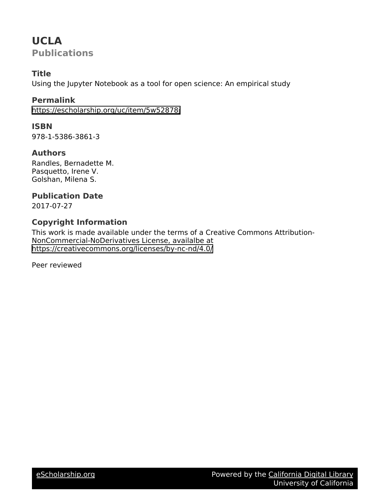## **UCLA Publications**

## **Title**

Using the Jupyter Notebook as a tool for open science: An empirical study

## **Permalink**

<https://escholarship.org/uc/item/5w52878j>

## **ISBN**

978-1-5386-3861-3

## **Authors**

Randles, Bernadette M. Pasquetto, Irene V. Golshan, Milena S.

## **Publication Date**

2017-07-27

## **Copyright Information**

This work is made available under the terms of a Creative Commons Attribution-NonCommercial-NoDerivatives License, availalbe at <https://creativecommons.org/licenses/by-nc-nd/4.0/>

Peer reviewed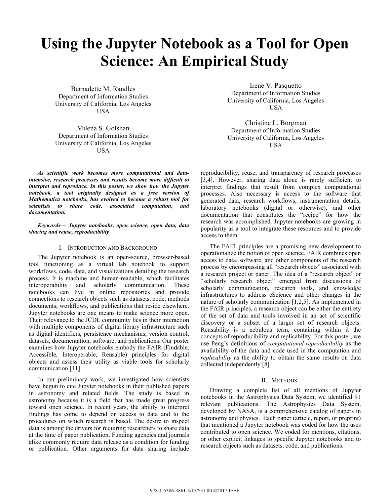# **Using the Jupyter Notebook as a Tool for Open Science: An Empirical Study**

Bernadette M. Randles Department of Information Studies University of California, Los Angeles USA

Milena S. Golshan Department of Information Studies University of California, Los Angeles USA

*As scientific work becomes more computational and dataintensive, research processes and results become more difficult to interpret and reproduce. In this poster, we show how the Jupyter notebook, a tool originally designed as a free version of Mathematica notebooks, has evolved to become a robust tool for scientists to share code, associated computation, and documentation.*

*Keywords— Jupyter notebooks, open science, open data, data sharing and reuse, reproducibility*

### I. INTRODUCTION AND BACKGROUND

The Jupyter notebook is an open-source, browser-based tool functioning as a virtual lab notebook to support workflows, code, data, and visualizations detailing the research process. It is machine and human-readable, which facilitates interoperability and scholarly communication. These notebooks can live in online repositories and provide connections to research objects such as datasets, code, methods documents, workflows, and publications that reside elsewhere. Jupyter notebooks are one means to make science more open. Their relevance to the JCDL community lies in their interaction with multiple components of digital library infrastructure such as digital identifiers, persistence mechanisms, version control, datasets, documentation, software, and publications. Our poster examines how Jupyter notebooks embody the FAIR (Findable, Accessible, Interoperable, Reusable) principles for digital objects and assess their utility as viable tools for scholarly communication [11].

In our preliminary work, we investigated how scientists have begun to cite Jupyter notebooks in their published papers in astronomy and related fields. The study is based in astronomy because it is a field that has made great progress toward open science. In recent years, the ability to interpret findings has come to depend on access to data and to the procedures on which research is based. The desire to inspect data is among the drivers for requiring researchers to share data at the time of paper publication. Funding agencies and journals alike commonly require data release as a condition for funding or publication. Other arguments for data sharing include

Irene V. Pasquetto Department of Information Studies University of California, Los Angeles USA

Christine L. Borgman Department of Information Studies University of California, Los Angeles USA

reproducibility, reuse, and transparency of research processes [3,4]. However, sharing data alone is rarely sufficient to interpret findings that result from complex computational processes. Also necessary is access to the software that generated data, research workflows, instrumentation details, laboratory notebooks (digital or otherwise), and other documentation that constitutes the "recipe" for how the research was accomplished. Jupyter notebooks are growing in popularity as a tool to integrate these resources and to provide access to them.

The FAIR principles are a promising new development to operationalize the notion of open science. FAIR combines open access to data, software, and other components of the research process by encompassing all "research objects" associated with a research project or paper. The idea of a "research object" or "scholarly research object" emerged from discussions of scholarly communication, research tools, and knowledge infrastructures to address eScience and other changes in the nature of scholarly communication [1,2,5]. As implemented in the FAIR principles, a research object can be either the entirety of the set of data and tools involved in an act of scientific discovery or a subset of a larger set of research objects. Reusability is a nebulous term, containing within it the concepts of reproducibility and replicability. For this poster, we use Peng's definitions of *computational reproducibility* as the availability of the data and code used in the computation and *replicability* as the ability to obtain the same results on data collected independently [8].

### II. METHODS

Drawing a complete list of all mentions of Jupyter notebooks in the Astrophysics Data System, we identified 91 relevant publications. The Astrophysics Data System, developed by NASA, is a comprehensive catalog of papers in astronomy and physics. Each paper (article, report, or preprint) that mentioned a Jupyter notebook was coded for how the uses contributed to open science. We coded for mentions, citations, or other explicit linkages to specific Jupyter notebooks and to research objects such as datasets, code, and publications.